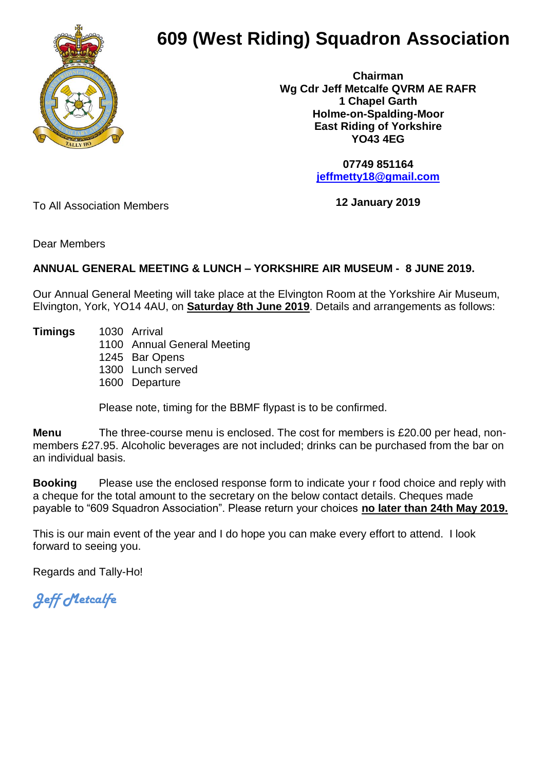

## **609 (West Riding) Squadron Association**

 **Chairman Wg Cdr Jeff Metcalfe QVRM AE RAFR 1 Chapel Garth Holme-on-Spalding-Moor East Riding of Yorkshire YO43 4EG**

> **07749 851164 [jeffmetty18@gmail.com](mailto:jeffmetty18@gmail.com)**

To All Association Members

**12 January 2019**

Dear Members

## **ANNUAL GENERAL MEETING & LUNCH – YORKSHIRE AIR MUSEUM - 8 JUNE 2019.**

Our Annual General Meeting will take place at the Elvington Room at the Yorkshire Air Museum, Elvington, York, YO14 4AU, on **Saturday 8th June 2019**. Details and arrangements as follows:

**Timings** 1030 Arrival

1100 Annual General Meeting

1245 Bar Opens

1300 Lunch served

1600 Departure

Please note, timing for the BBMF flypast is to be confirmed.

**Menu** The three-course menu is enclosed. The cost for members is £20.00 per head, nonmembers £27.95. Alcoholic beverages are not included; drinks can be purchased from the bar on an individual basis.

**Booking** Please use the enclosed response form to indicate your r food choice and reply with a cheque for the total amount to the secretary on the below contact details. Cheques made payable to "609 Squadron Association". Please return your choices **no later than 24th May 2019.**

This is our main event of the year and I do hope you can make every effort to attend. I look forward to seeing you.

Regards and Tally-Ho!

*Jeff Metcalfe*